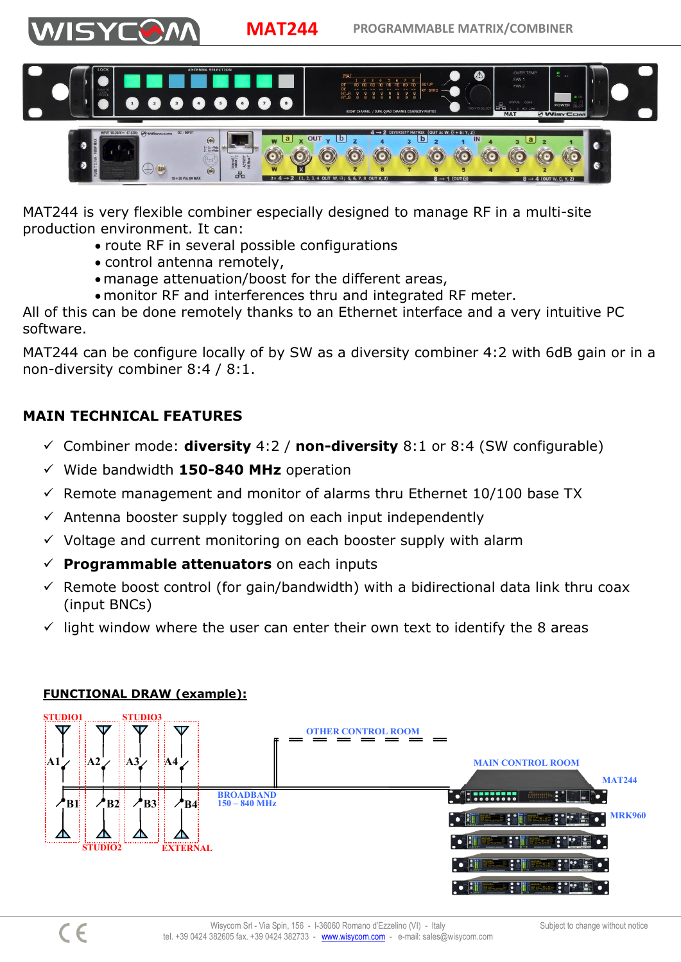



MAT244 is very flexible combiner especially designed to manage RF in a multi-site production environment. It can:

- route RF in several possible configurations
- control antenna remotely,
- manage attenuation/boost for the different areas,
- monitor RF and interferences thru and integrated RF meter.

All of this can be done remotely thanks to an Ethernet interface and a very intuitive PC software.

MAT244 can be configure locally of by SW as a diversity combiner 4:2 with 6dB gain or in a non-diversity combiner 8:4 / 8:1.

## **MAIN TECHNICAL FEATURES**

VISYCY

- Combiner mode: **diversity** 4:2 / **non-diversity** 8:1 or 8:4 (SW configurable)
- Wide bandwidth **150-840 MHz** operation
- $\checkmark$  Remote management and monitor of alarms thru Ethernet 10/100 base TX
- $\checkmark$  Antenna booster supply toggled on each input independently
- $\checkmark$  Voltage and current monitoring on each booster supply with alarm
- **Programmable attenuators** on each inputs
- $\checkmark$  Remote boost control (for gain/bandwidth) with a bidirectional data link thru coax (input BNCs)
- $\checkmark$  light window where the user can enter their own text to identify the 8 areas



## **FUNCTIONAL DRAW (example):**